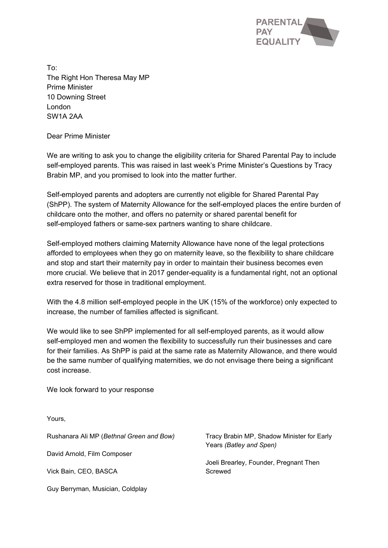

To: The Right Hon Theresa May MP Prime Minister 10 Downing Street London SW1A 2AA

Dear Prime Minister

We are writing to ask you to change the eligibility criteria for Shared Parental Pay to include self-employed parents. This was raised in last week's Prime Minister's Questions by Tracy Brabin MP, and you promised to look into the matter further.

Self-employed parents and adopters are currently not eligible for Shared Parental Pay (ShPP). The system of Maternity Allowance for the self-employed places the entire burden of childcare onto the mother, and offers no paternity or shared parental benefit for self-employed fathers or same-sex partners wanting to share childcare.

Self-employed mothers claiming Maternity Allowance have none of the legal protections afforded to employees when they go on maternity leave, so the flexibility to share childcare and stop and start their maternity pay in order to maintain their business becomes even more crucial. We believe that in 2017 gender-equality is a fundamental right, not an optional extra reserved for those in traditional employment.

With the 4.8 million self-employed people in the UK (15% of the workforce) only expected to increase, the number of families affected is significant.

We would like to see ShPP implemented for all self-employed parents, as it would allow self-employed men and women the flexibility to successfully run their businesses and care for their families. As ShPP is paid at the same rate as Maternity Allowance, and there would be the same number of qualifying maternities, we do not envisage there being a significant cost increase.

We look forward to your response

Yours,

Rushanara Ali MP (*Bethnal Green and Bow)*

David Arnold, Film Composer

Vick Bain, CEO, BASCA

Guy Berryman, Musician, Coldplay

Tracy Brabin MP, Shadow Minister for Early Years *(Batley and Spen)*

Joeli Brearley, Founder, Pregnant Then Screwed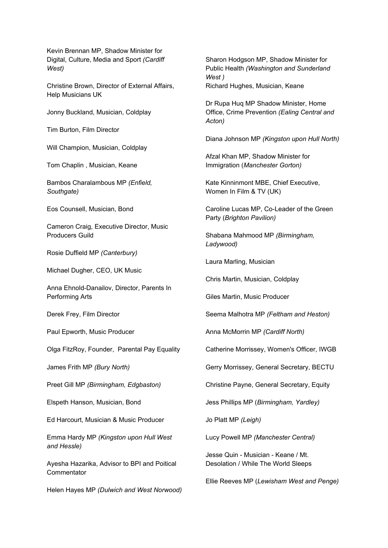Kevin Brennan MP, Shadow Minister for Digital, Culture, Media and Sport *(Cardiff West)*

Christine Brown, Director of External Affairs, Help Musicians UK

Jonny Buckland, Musician, Coldplay

Tim Burton, Film Director

Will Champion, Musician, Coldplay

Tom Chaplin , Musician, Keane

Bambos Charalambous MP *(Enfield, Southgate)*

Eos Counsell, Musician, Bond

Cameron Craig, Executive Director, Music Producers Guild

Rosie Duffield MP *(Canterbury)*

Michael Dugher, CEO, UK Music

Anna Ehnold-Danailov, Director, Parents In Performing Arts

Derek Frey, Film Director

Paul Epworth, Music Producer

Olga FitzRoy, Founder, Parental Pay Equality

James Frith MP *(Bury North)*

Preet Gill MP *(Birmingham, Edgbaston)*

Elspeth Hanson, Musician, Bond

Ed Harcourt, Musician & Music Producer

Emma Hardy MP *(Kingston upon Hull West and Hessle)*

Ayesha Hazarika, Advisor to BPI and Poitical **Commentator** 

Helen Hayes MP *(Dulwich and West Norwood)*

Sharon Hodgson MP, Shadow Minister for Public Health *(Washington and Sunderland West )* Richard Hughes, Musician, Keane

Dr Rupa Huq MP Shadow Minister, Home Office, Crime Prevention *(Ealing Central and Acton)*

Diana Johnson MP *(Kingston upon Hull North)*

Afzal Khan MP, Shadow Minister for Immigration (*Manchester Gorton)*

Kate Kinninmont MBE, Chief Executive, Women In Film & TV (UK)

Caroline Lucas MP, Co-Leader of the Green Party (*Brighton Pavilion)*

Shabana Mahmood MP *(Birmingham, Ladywood)*

Laura Marling, Musician

Chris Martin, Musician, Coldplay

Giles Martin, Music Producer

Seema Malhotra MP *(Feltham and Heston)*

Anna McMorrin MP *(Cardiff North)*

Catherine Morrissey, Women's Officer, IWGB

Gerry Morrissey, General Secretary, BECTU

Christine Payne, General Secretary, Equity

Jess Phillips MP (*Birmingham, Yardley)*

Jo Platt MP *(Leigh)*

Lucy Powell MP *(Manchester Central)*

Jesse Quin - Musician - Keane / Mt. Desolation / While The World Sleeps

Ellie Reeves MP (*Lewisham West and Penge)*